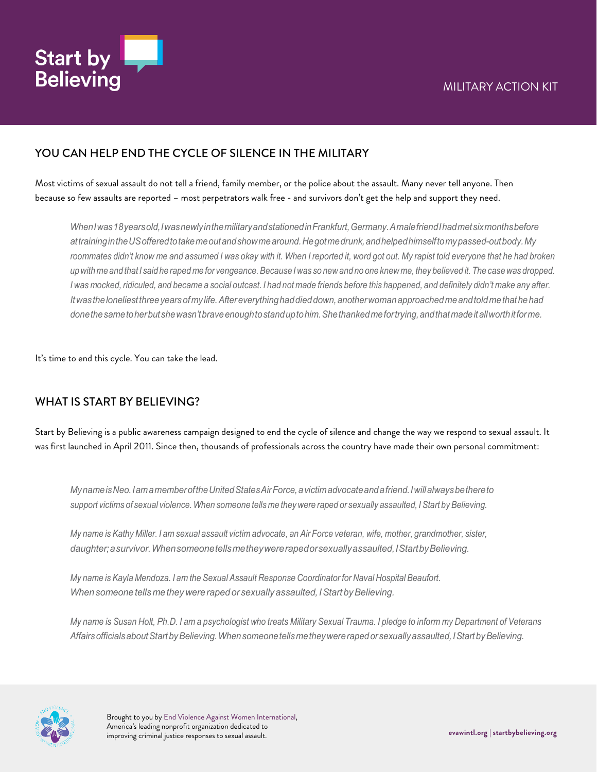

#### YOU CAN HELP END THE CYCLE OF SILENCE IN THE MILITARY

Most victims of sexual assault do not tell a friend, family member, or the police about the assault. Many never tell anyone. Then because so few assaults are reported – most perpetrators walk free - and survivors don't get the help and support they need.

*WhenIwas18yearsold,IwasnewlyinthemilitaryandstationedinFrankfurt,Germany.AmalefriendIhadmetsixmonthsbefore attrainingintheUSofferedtotakemeoutandshowmearound.Hegotmedrunk,andhelpedhimselftomypassed-outbody.My* roommates didn't know me and assumed I was okay with it. When I reported it, word got out. My rapist told everyone that he had broken up with me and that I said he raped me for vengeance. Because I was so new and no one knew me, they believed it. The case was dropped. I was mocked, ridiculed, and became a social outcast. I had not made friends before this happened, and definitely didn't make any after. *Itwastheloneliestthreeyearsofmylife.Aftereverythinghaddieddown,anotherwomanapproachedmeandtoldmethathehad donethesametoherbutshewasn'tbraveenoughtostanduptohim.Shethankedmefortrying,andthatmadeitallworthitforme.*

It's time to end this cycle. You can take the lead.

#### WHAT IS START BY BELIEVING?

Start by Believing is a public awareness campaign designed to end the cycle of silence and change the way we respond to sexual assault. It was first launched in April 2011. Since then, thousands of professionals across the country have made their own personal commitment:

*MynameisNeo.IamamemberoftheUnitedStatesAirForce,avictimadvocateandafriend.Iwillalwaysbethereto*  support victims of sexual violence. When someone tells me they were raped or sexually assaulted, I Start by Believing.

My name is Kathy Miller. I am sexual assault victim advocate, an Air Force veteran, wife, mother, grandmother, sister, *daughter;asurvivor.Whensomeonetellsmetheywererapedorsexuallyassaulted,IStartbyBelieving.*

*My name is Kayla Mendoza. I am the Sexual Assault Response Coordinator for Naval Hospital Beaufort. Whensomeonetells metheywererapedorsexually assaulted,IStartbyBelieving.*

My name is Susan Holt, Ph.D. I am a psychologist who treats Military Sexual Trauma. I pledge to inform my Department of Veterans *AffairsofficialsaboutStartbyBelieving.Whensomeonetellsmetheywererapedorsexuallyassaulted,IStartbyBelieving.*

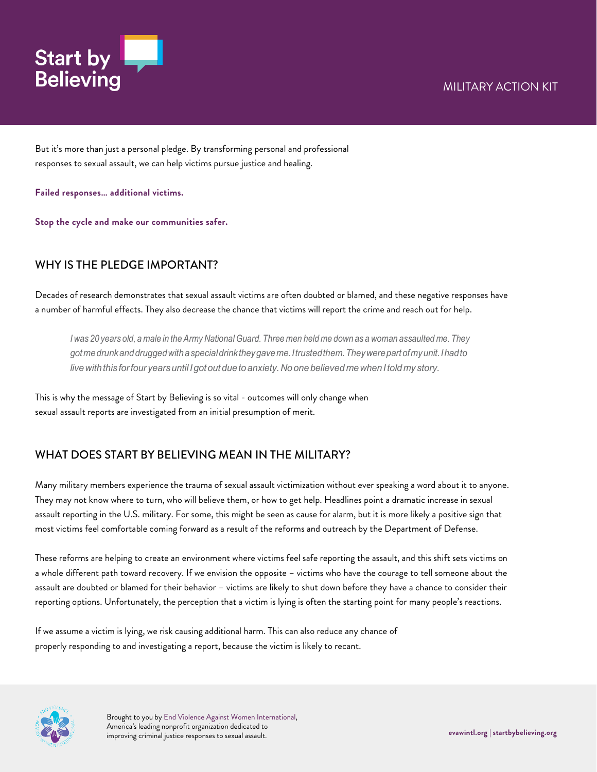# MILITARY ACTION KIT



But it's more than just a personal pledge. By transforming personal and professional responses to sexual assault, we can help victims pursue justice and healing.

**Failed responses… additional victims.**

**Stop the cycle and make our communities safer.**

### WHY IS THE PLEDGE IMPORTANT?

Decades of research demonstrates that sexual assault victims are often doubted or blamed, and these negative responses have a number of harmful effects. They also decrease the chance that victims will report the crime and reach out for help.

I was 20 years old, a male in the Army National Guard. Three men held me down as a woman assaulted me. They *gotmedrunkanddruggedwithaspecialdrinktheygaveme.Itrustedthem.Theywerepartofmyunit.Ihadto livewiththis forfour yearsuntil Igotoutduetoanxiety.Noonebelieved mewhenItoldmy story.*

This is why the message of Start by Believing is so vital - outcomes will only change when sexual assault reports are investigated from an initial presumption of merit.

### WHAT DOES START BY BELIEVING MEAN IN THE MILITARY?

Many military members experience the trauma of sexual assault victimization without ever speaking a word about it to anyone. They may not know where to turn, who will believe them, or how to get help. Headlines point a dramatic increase in sexual assault reporting in the U.S. military. For some, this might be seen as cause for alarm, but it is more likely a positive sign that most victims feel comfortable coming forward as a result of the reforms and outreach by the Department of Defense.

These reforms are helping to create an environment where victims feel safe reporting the assault, and this shift sets victims on a whole different path toward recovery. If we envision the opposite – victims who have the courage to tell someone about the assault are doubted or blamed for their behavior – victims are likely to shut down before they have a chance to consider their reporting options. Unfortunately, the perception that a victim is lying is often the starting point for many people's reactions.

If we assume a victim is lying, we risk causing additional harm. This can also reduce any chance of properly responding to and investigating a report, because the victim is likely to recant.



Brought to you by End Violence Against Women International, America's leading nonprofit organization dedicated to improving criminal justice responses to sexual assault. **evawintl.org | startbybelieving.org**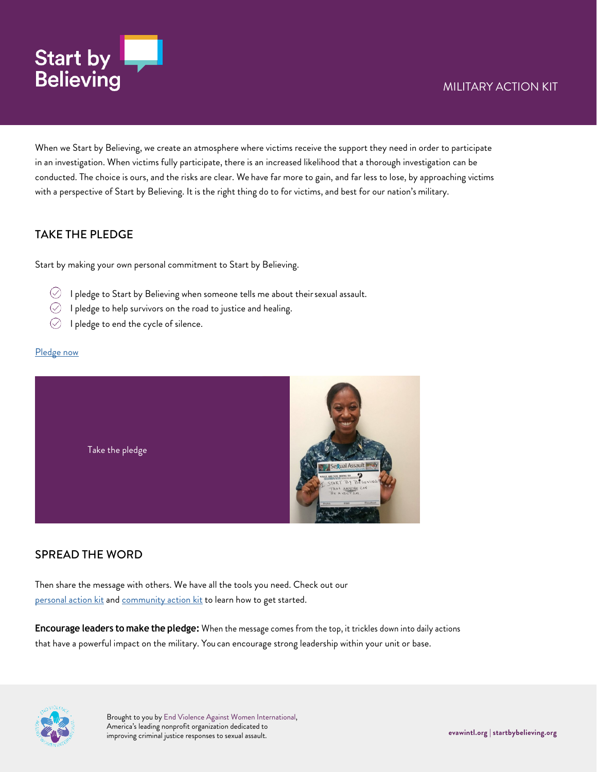

When we Start by Believing, we create an atmosphere where victims receive the support they need in order to participate in an investigation. When victims fully participate, there is an increased likelihood that a thorough investigation can be conducted. The choice is ours, and the risks are clear. We have far more to gain, and far less to lose, by approaching victims with a perspective of Start by Believing. It is the right thing do to for victims, and best for our nation's military.

### TAKE THE PI FDGF

Start by making your own personal commitment to Start by Believing.

- $\oslash$  I pledge to Start by Believing when someone tells me about their sexual assault.
- $\oslash$  I pledge to help survivors on the road to justice and healing.
- $\oslash$  I pledge to end the cycle of silence.

#### [Pledge now](https://www.startbybelieving.org/pledge/)



### SPREAD THE WORD

Then share the message with others. We have all the tools you need. Check out our [personal action kit](https://www.startbybelieving.org/wp-content/uploads/2020/08/Personal-Action-Kit.pdf) and [community action kit](https://www.startbybelieving.org/wp-content/uploads/2020/08/Community-Action-Kit.pdf) to learn how to get started.

**Encourage leaders to make the pledge:** When the message comes from the top, it trickles down into daily actions that have a powerful impact on the military. You can encourage strong leadership within your unit or base.



Brought to you by End Violence Against Women International, America's leading nonprofit organization dedicated to improving criminal justice responses to sexual assault. **evawintl.org | startbybelieving.org**